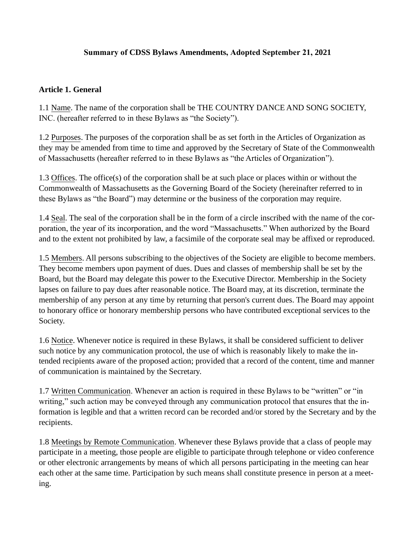### **Summary of CDSS Bylaws Amendments, Adopted September 21, 2021**

#### **Article 1. General**

1.1 Name. The name of the corporation shall be THE COUNTRY DANCE AND SONG SOCIETY, INC. (hereafter referred to in these Bylaws as "the Society").

1.2 Purposes. The purposes of the corporation shall be as set forth in the Articles of Organization as they may be amended from time to time and approved by the Secretary of State of the Commonwealth of Massachusetts (hereafter referred to in these Bylaws as "the Articles of Organization").

1.3 Offices. The office(s) of the corporation shall be at such place or places within or without the Commonwealth of Massachusetts as the Governing Board of the Society (hereinafter referred to in these Bylaws as "the Board") may determine or the business of the corporation may require.

1.4 Seal. The seal of the corporation shall be in the form of a circle inscribed with the name of the corporation, the year of its incorporation, and the word "Massachusetts." When authorized by the Board and to the extent not prohibited by law, a facsimile of the corporate seal may be affixed or reproduced.

1.5 Members. All persons subscribing to the objectives of the Society are eligible to become members. They become members upon payment of dues. Dues and classes of membership shall be set by the Board, but the Board may delegate this power to the Executive Director. Membership in the Society lapses on failure to pay dues after reasonable notice. The Board may, at its discretion, terminate the membership of any person at any time by returning that person's current dues. The Board may appoint to honorary office or honorary membership persons who have contributed exceptional services to the Society.

1.6 Notice. Whenever notice is required in these Bylaws, it shall be considered sufficient to deliver such notice by any communication protocol, the use of which is reasonably likely to make the intended recipients aware of the proposed action; provided that a record of the content, time and manner of communication is maintained by the Secretary.

1.7 Written Communication. Whenever an action is required in these Bylaws to be "written" or "in writing," such action may be conveyed through any communication protocol that ensures that the information is legible and that a written record can be recorded and/or stored by the Secretary and by the recipients.

1.8 Meetings by Remote Communication. Whenever these Bylaws provide that a class of people may participate in a meeting, those people are eligible to participate through telephone or video conference or other electronic arrangements by means of which all persons participating in the meeting can hear each other at the same time. Participation by such means shall constitute presence in person at a meeting.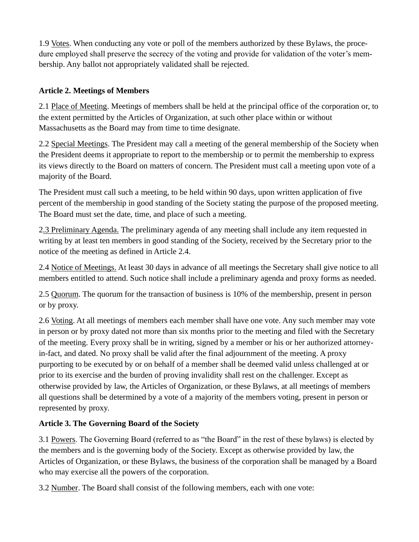1.9 Votes. When conducting any vote or poll of the members authorized by these Bylaws, the procedure employed shall preserve the secrecy of the voting and provide for validation of the voter's membership. Any ballot not appropriately validated shall be rejected.

# **Article 2. Meetings of Members**

2.1 Place of Meeting. Meetings of members shall be held at the principal office of the corporation or, to the extent permitted by the Articles of Organization, at such other place within or without Massachusetts as the Board may from time to time designate.

2.2 Special Meetings. The President may call a meeting of the general membership of the Society when the President deems it appropriate to report to the membership or to permit the membership to express its views directly to the Board on matters of concern. The President must call a meeting upon vote of a majority of the Board.

The President must call such a meeting, to be held within 90 days, upon written application of five percent of the membership in good standing of the Society stating the purpose of the proposed meeting. The Board must set the date, time, and place of such a meeting.

2.3 Preliminary Agenda. The preliminary agenda of any meeting shall include any item requested in writing by at least ten members in good standing of the Society, received by the Secretary prior to the notice of the meeting as defined in Article 2.4.

2.4 Notice of Meetings. At least 30 days in advance of all meetings the Secretary shall give notice to all members entitled to attend. Such notice shall include a preliminary agenda and proxy forms as needed.

2.5 Quorum. The quorum for the transaction of business is 10% of the membership, present in person or by proxy.

2.6 Voting. At all meetings of members each member shall have one vote. Any such member may vote in person or by proxy dated not more than six months prior to the meeting and filed with the Secretary of the meeting. Every proxy shall be in writing, signed by a member or his or her authorized attorneyin-fact, and dated. No proxy shall be valid after the final adjournment of the meeting. A proxy purporting to be executed by or on behalf of a member shall be deemed valid unless challenged at or prior to its exercise and the burden of proving invalidity shall rest on the challenger. Except as otherwise provided by law, the Articles of Organization, or these Bylaws, at all meetings of members all questions shall be determined by a vote of a majority of the members voting, present in person or represented by proxy.

# **Article 3. The Governing Board of the Society**

3.1 Powers. The Governing Board (referred to as "the Board" in the rest of these bylaws) is elected by the members and is the governing body of the Society. Except as otherwise provided by law, the Articles of Organization, or these Bylaws, the business of the corporation shall be managed by a Board who may exercise all the powers of the corporation.

3.2 Number. The Board shall consist of the following members, each with one vote: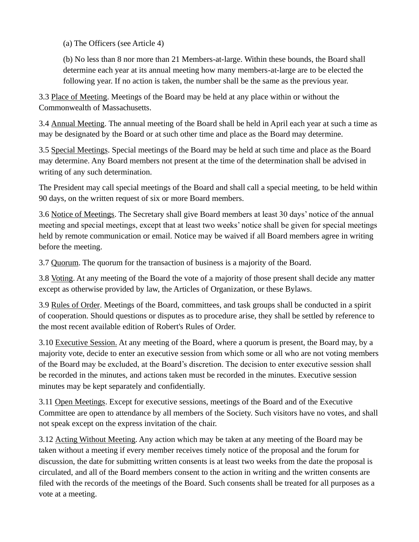(a) The Officers (see Article 4)

(b) No less than 8 nor more than 21 Members-at-large. Within these bounds, the Board shall determine each year at its annual meeting how many members-at-large are to be elected the following year. If no action is taken, the number shall be the same as the previous year.

3.3 Place of Meeting. Meetings of the Board may be held at any place within or without the Commonwealth of Massachusetts.

3.4 Annual Meeting. The annual meeting of the Board shall be held in April each year at such a time as may be designated by the Board or at such other time and place as the Board may determine.

3.5 Special Meetings. Special meetings of the Board may be held at such time and place as the Board may determine. Any Board members not present at the time of the determination shall be advised in writing of any such determination.

The President may call special meetings of the Board and shall call a special meeting, to be held within 90 days, on the written request of six or more Board members.

3.6 Notice of Meetings. The Secretary shall give Board members at least 30 days' notice of the annual meeting and special meetings, except that at least two weeks' notice shall be given for special meetings held by remote communication or email. Notice may be waived if all Board members agree in writing before the meeting.

3.7 Quorum. The quorum for the transaction of business is a majority of the Board.

3.8 Voting. At any meeting of the Board the vote of a majority of those present shall decide any matter except as otherwise provided by law, the Articles of Organization, or these Bylaws.

3.9 Rules of Order. Meetings of the Board, committees, and task groups shall be conducted in a spirit of cooperation. Should questions or disputes as to procedure arise, they shall be settled by reference to the most recent available edition of Robert's Rules of Order.

3.10 Executive Session. At any meeting of the Board, where a quorum is present, the Board may, by a majority vote, decide to enter an executive session from which some or all who are not voting members of the Board may be excluded, at the Board's discretion. The decision to enter executive session shall be recorded in the minutes, and actions taken must be recorded in the minutes. Executive session minutes may be kept separately and confidentially.

3.11 Open Meetings. Except for executive sessions, meetings of the Board and of the Executive Committee are open to attendance by all members of the Society. Such visitors have no votes, and shall not speak except on the express invitation of the chair.

3.12 Acting Without Meeting. Any action which may be taken at any meeting of the Board may be taken without a meeting if every member receives timely notice of the proposal and the forum for discussion, the date for submitting written consents is at least two weeks from the date the proposal is circulated, and all of the Board members consent to the action in writing and the written consents are filed with the records of the meetings of the Board. Such consents shall be treated for all purposes as a vote at a meeting.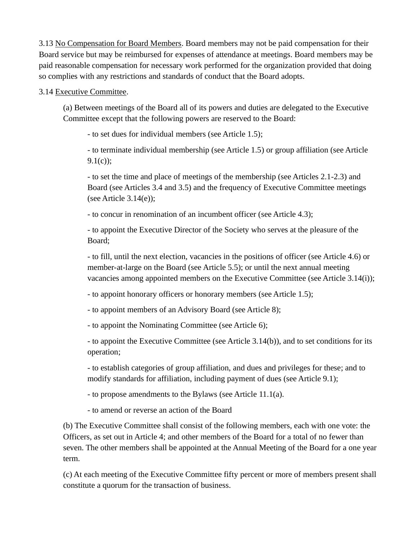3.13 No Compensation for Board Members. Board members may not be paid compensation for their Board service but may be reimbursed for expenses of attendance at meetings. Board members may be paid reasonable compensation for necessary work performed for the organization provided that doing so complies with any restrictions and standards of conduct that the Board adopts.

#### 3.14 Executive Committee.

(a) Between meetings of the Board all of its powers and duties are delegated to the Executive Committee except that the following powers are reserved to the Board:

- to set dues for individual members (see Article 1.5);

- to terminate individual membership (see Article 1.5) or group affiliation (see Article  $9.1(c)$ ;

- to set the time and place of meetings of the membership (see Articles 2.1-2.3) and Board (see Articles 3.4 and 3.5) and the frequency of Executive Committee meetings (see Article  $3.14(e)$ );

- to concur in renomination of an incumbent officer (see Article 4.3);

- to appoint the Executive Director of the Society who serves at the pleasure of the Board;

- to fill, until the next election, vacancies in the positions of officer (see Article 4.6) or member-at-large on the Board (see Article 5.5); or until the next annual meeting vacancies among appointed members on the Executive Committee (see Article 3.14(i));

- to appoint honorary officers or honorary members (see Article 1.5);

- to appoint members of an Advisory Board (see Article 8);

- to appoint the Nominating Committee (see Article 6);

- to appoint the Executive Committee (see Article 3.14(b)), and to set conditions for its operation;

- to establish categories of group affiliation, and dues and privileges for these; and to modify standards for affiliation, including payment of dues (see Article 9.1);

- to propose amendments to the Bylaws (see Article 11.1(a).

- to amend or reverse an action of the Board

(b) The Executive Committee shall consist of the following members, each with one vote: the Officers, as set out in Article 4; and other members of the Board for a total of no fewer than seven. The other members shall be appointed at the Annual Meeting of the Board for a one year term.

(c) At each meeting of the Executive Committee fifty percent or more of members present shall constitute a quorum for the transaction of business.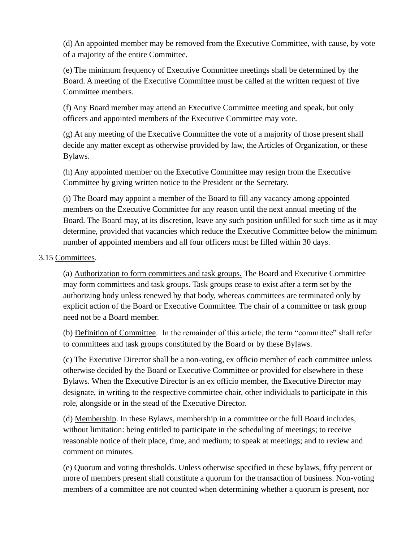(d) An appointed member may be removed from the Executive Committee, with cause, by vote of a majority of the entire Committee.

(e) The minimum frequency of Executive Committee meetings shall be determined by the Board. A meeting of the Executive Committee must be called at the written request of five Committee members.

(f) Any Board member may attend an Executive Committee meeting and speak, but only officers and appointed members of the Executive Committee may vote.

(g) At any meeting of the Executive Committee the vote of a majority of those present shall decide any matter except as otherwise provided by law, the Articles of Organization, or these Bylaws.

(h) Any appointed member on the Executive Committee may resign from the Executive Committee by giving written notice to the President or the Secretary.

(i) The Board may appoint a member of the Board to fill any vacancy among appointed members on the Executive Committee for any reason until the next annual meeting of the Board. The Board may, at its discretion, leave any such position unfilled for such time as it may determine, provided that vacancies which reduce the Executive Committee below the minimum number of appointed members and all four officers must be filled within 30 days.

### 3.15 Committees.

(a) Authorization to form committees and task groups. The Board and Executive Committee may form committees and task groups. Task groups cease to exist after a term set by the authorizing body unless renewed by that body, whereas committees are terminated only by explicit action of the Board or Executive Committee. The chair of a committee or task group need not be a Board member.

(b) Definition of Committee. In the remainder of this article, the term "committee" shall refer to committees and task groups constituted by the Board or by these Bylaws.

(c) The Executive Director shall be a non-voting, ex officio member of each committee unless otherwise decided by the Board or Executive Committee or provided for elsewhere in these Bylaws. When the Executive Director is an ex officio member, the Executive Director may designate, in writing to the respective committee chair, other individuals to participate in this role, alongside or in the stead of the Executive Director.

(d) Membership. In these Bylaws, membership in a committee or the full Board includes, without limitation: being entitled to participate in the scheduling of meetings; to receive reasonable notice of their place, time, and medium; to speak at meetings; and to review and comment on minutes.

(e) Quorum and voting thresholds. Unless otherwise specified in these bylaws, fifty percent or more of members present shall constitute a quorum for the transaction of business. Non-voting members of a committee are not counted when determining whether a quorum is present, nor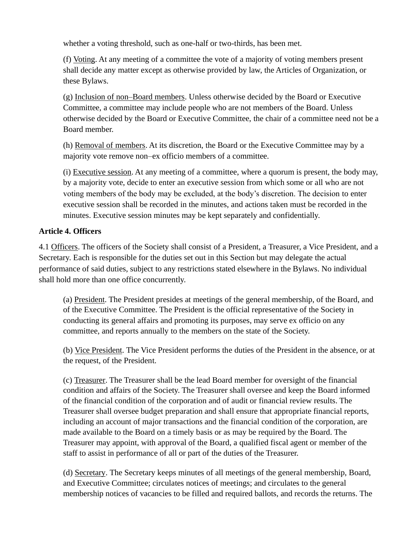whether a voting threshold, such as one-half or two-thirds, has been met.

(f) Voting. At any meeting of a committee the vote of a majority of voting members present shall decide any matter except as otherwise provided by law, the Articles of Organization, or these Bylaws.

(g) Inclusion of non–Board members. Unless otherwise decided by the Board or Executive Committee, a committee may include people who are not members of the Board. Unless otherwise decided by the Board or Executive Committee, the chair of a committee need not be a Board member.

(h) Removal of members. At its discretion, the Board or the Executive Committee may by a majority vote remove non–ex officio members of a committee.

(i) Executive session. At any meeting of a committee, where a quorum is present, the body may, by a majority vote, decide to enter an executive session from which some or all who are not voting members of the body may be excluded, at the body's discretion. The decision to enter executive session shall be recorded in the minutes, and actions taken must be recorded in the minutes. Executive session minutes may be kept separately and confidentially.

### **Article 4. Officers**

4.1 Officers. The officers of the Society shall consist of a President, a Treasurer, a Vice President, and a Secretary. Each is responsible for the duties set out in this Section but may delegate the actual performance of said duties, subject to any restrictions stated elsewhere in the Bylaws. No individual shall hold more than one office concurrently.

(a) President. The President presides at meetings of the general membership, of the Board, and of the Executive Committee. The President is the official representative of the Society in conducting its general affairs and promoting its purposes, may serve ex officio on any committee, and reports annually to the members on the state of the Society.

(b) Vice President. The Vice President performs the duties of the President in the absence, or at the request, of the President.

(c) Treasurer. The Treasurer shall be the lead Board member for oversight of the financial condition and affairs of the Society. The Treasurer shall oversee and keep the Board informed of the financial condition of the corporation and of audit or financial review results. The Treasurer shall oversee budget preparation and shall ensure that appropriate financial reports, including an account of major transactions and the financial condition of the corporation, are made available to the Board on a timely basis or as may be required by the Board. The Treasurer may appoint, with approval of the Board, a qualified fiscal agent or member of the staff to assist in performance of all or part of the duties of the Treasurer.

(d) Secretary. The Secretary keeps minutes of all meetings of the general membership, Board, and Executive Committee; circulates notices of meetings; and circulates to the general membership notices of vacancies to be filled and required ballots, and records the returns. The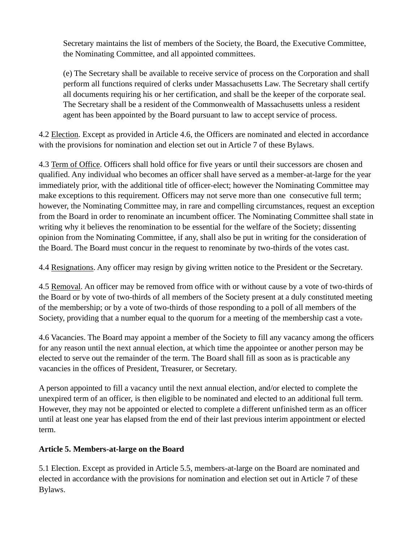Secretary maintains the list of members of the Society, the Board, the Executive Committee, the Nominating Committee, and all appointed committees.

(e) The Secretary shall be available to receive service of process on the Corporation and shall perform all functions required of clerks under Massachusetts Law. The Secretary shall certify all documents requiring his or her certification, and shall be the keeper of the corporate seal. The Secretary shall be a resident of the Commonwealth of Massachusetts unless a resident agent has been appointed by the Board pursuant to law to accept service of process.

4.2 Election. Except as provided in Article 4.6, the Officers are nominated and elected in accordance with the provisions for nomination and election set out in Article 7 of these Bylaws.

4.3 Term of Office. Officers shall hold office for five years or until their successors are chosen and qualified. Any individual who becomes an officer shall have served as a member-at-large for the year immediately prior, with the additional title of officer-elect; however the Nominating Committee may make exceptions to this requirement. Officers may not serve more than one consecutive full term; however, the Nominating Committee may, in rare and compelling circumstances, request an exception from the Board in order to renominate an incumbent officer. The Nominating Committee shall state in writing why it believes the renomination to be essential for the welfare of the Society; dissenting opinion from the Nominating Committee, if any, shall also be put in writing for the consideration of the Board. The Board must concur in the request to renominate by two-thirds of the votes cast.

4.4 Resignations. Any officer may resign by giving written notice to the President or the Secretary.

4.5 Removal. An officer may be removed from office with or without cause by a vote of two-thirds of the Board or by vote of two-thirds of all members of the Society present at a duly constituted meeting of the membership; or by a vote of two-thirds of those responding to a poll of all members of the Society, providing that a number equal to the quorum for a meeting of the membership cast a vote.

4.6 Vacancies. The Board may appoint a member of the Society to fill any vacancy among the officers for any reason until the next annual election, at which time the appointee or another person may be elected to serve out the remainder of the term. The Board shall fill as soon as is practicable any vacancies in the offices of President, Treasurer, or Secretary.

A person appointed to fill a vacancy until the next annual election, and/or elected to complete the unexpired term of an officer, is then eligible to be nominated and elected to an additional full term. However, they may not be appointed or elected to complete a different unfinished term as an officer until at least one year has elapsed from the end of their last previous interim appointment or elected term.

### **Article 5. Members-at-large on the Board**

5.1 Election. Except as provided in Article 5.5, members-at-large on the Board are nominated and elected in accordance with the provisions for nomination and election set out in Article 7 of these Bylaws.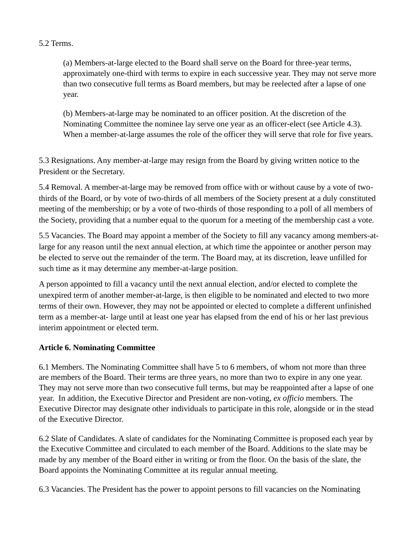5.2 Terms.

(a) Members-at-large elected to the Board shall serve on the Board for three-year terms, approximately one-third with terms to expire in each successive year. They may not serve more than two consecutive full terms as Board members, but may be reelected after a lapse of one year.

(b) Members-at-large may be nominated to an officer position. At the discretion of the Nominating Committee the nominee lay serve one year as an officer-elect (see Article 4.3). When a member-at-large assumes the role of the officer they will serve that role for five years.

5.3 Resignations. Any member-at-large may resign from the Board by giving written notice to the President or the Secretary.

5.4 Removal. A member-at-large may be removed from office with or without cause by a vote of twothirds of the Board, or by vote of two-thirds of all members of the Society present at a duly constituted meeting of the membership; or by a vote of two-thirds of those responding to a poll of all members of the Society, providing that a number equal to the quorum for a meeting of the membership cast a vote.

5.5 Vacancies. The Board may appoint a member of the Society to fill any vacancy among members-atlarge for any reason until the next annual election, at which time the appointee or another person may be elected to serve out the remainder of the term. The Board may, at its discretion, leave unfilled for such time as it may determine any member-at-large position.

A person appointed to fill a vacancy until the next annual election, and/or elected to complete the unexpired term of another member-at-large, is then eligible to be nominated and elected to two more terms of their own. However, they may not be appointed or elected to complete a different unfinished term as a member-at- large until at least one year has elapsed from the end of his or her last previous interim appointment or elected term.

### **Article 6. Nominating Committee**

6.1 Members. The Nominating Committee shall have 5 to 6 members, of whom not more than three are members of the Board. Their terms are three years, no more than two to expire in any one year. They may not serve more than two consecutive full terms, but may be reappointed after a lapse of one year. In addition, the Executive Director and President are non-voting, *ex officio* members. The Executive Director may designate other individuals to participate in this role, alongside or in the stead of the Executive Director.

6.2 Slate of Candidates. A slate of candidates for the Nominating Committee is proposed each year by the Executive Committee and circulated to each member of the Board. Additions to the slate may be made by any member of the Board either in writing or from the floor. On the basis of the slate, the Board appoints the Nominating Committee at its regular annual meeting.

6.3 Vacancies. The President has the power to appoint persons to fill vacancies on the Nominating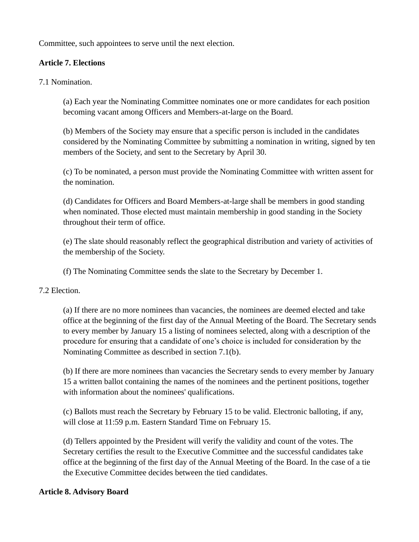Committee, such appointees to serve until the next election.

### **Article 7. Elections**

7.1 Nomination.

(a) Each year the Nominating Committee nominates one or more candidates for each position becoming vacant among Officers and Members-at-large on the Board.

(b) Members of the Society may ensure that a specific person is included in the candidates considered by the Nominating Committee by submitting a nomination in writing, signed by ten members of the Society, and sent to the Secretary by April 30.

(c) To be nominated, a person must provide the Nominating Committee with written assent for the nomination.

(d) Candidates for Officers and Board Members-at-large shall be members in good standing when nominated. Those elected must maintain membership in good standing in the Society throughout their term of office.

(e) The slate should reasonably reflect the geographical distribution and variety of activities of the membership of the Society.

(f) The Nominating Committee sends the slate to the Secretary by December 1.

7.2 Election.

(a) If there are no more nominees than vacancies, the nominees are deemed elected and take office at the beginning of the first day of the Annual Meeting of the Board. The Secretary sends to every member by January 15 a listing of nominees selected, along with a description of the procedure for ensuring that a candidate of one's choice is included for consideration by the Nominating Committee as described in section 7.1(b).

(b) If there are more nominees than vacancies the Secretary sends to every member by January 15 a written ballot containing the names of the nominees and the pertinent positions, together with information about the nominees' qualifications.

(c) Ballots must reach the Secretary by February 15 to be valid. Electronic balloting, if any, will close at 11:59 p.m. Eastern Standard Time on February 15.

(d) Tellers appointed by the President will verify the validity and count of the votes. The Secretary certifies the result to the Executive Committee and the successful candidates take office at the beginning of the first day of the Annual Meeting of the Board. In the case of a tie the Executive Committee decides between the tied candidates.

#### **Article 8. Advisory Board**